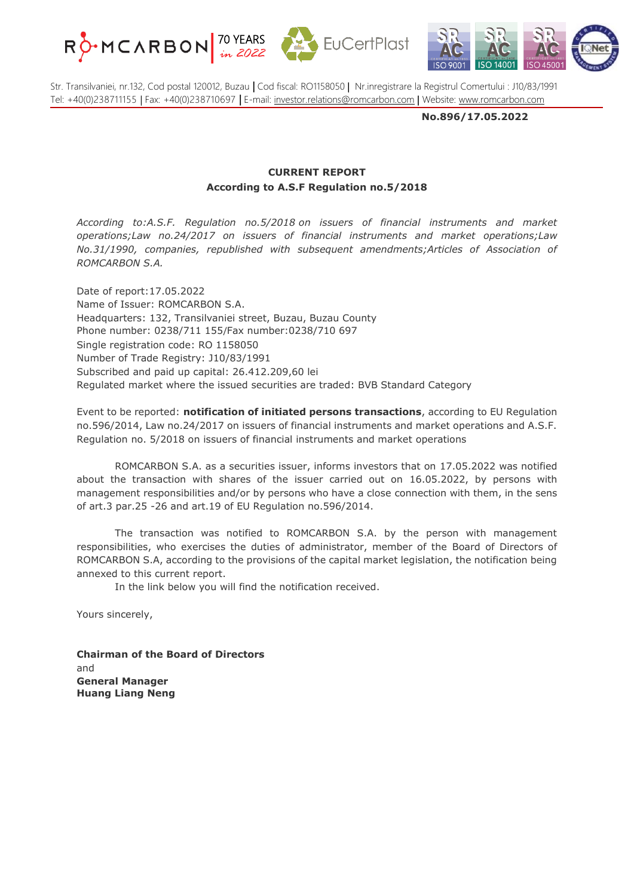





Str. Transilvaniei, nr.132, Cod postal 120012, Buzau **|** Cod fiscal: RO1158050 | Nr.inregistrare la Registrul Comertului : J10/83/1991 Tel: +40(0)238711155 | Fax: +40(0)238710697 **|** E-mail: [investor.relations@romcarbon.com](mailto:investor.relations@romcarbon.com) | Website: [www.romcarbon.com](https://www.romcarbon.com/)

**No.896/17.05.2022**

## **CURRENT REPORT According to A.S.F Regulation no.5/2018**

*According to:A.S.F. Regulation no.5/2018 on issuers of financial instruments and market operations;Law no.24/2017 on issuers of financial instruments and market operations;Law No.31/1990, companies, republished with subsequent amendments;Articles of Association of ROMCARBON S.A.*

Date of report:17.05.2022 Name of Issuer: ROMCARBON S.A. Headquarters: 132, Transilvaniei street, Buzau, Buzau County Phone number: 0238/711 155/Fax number:0238/710 697 Single registration code: RO 1158050 Number of Trade Registry: J10/83/1991 Subscribed and paid up capital: 26.412.209,60 lei Regulated market where the issued securities are traded: BVB Standard Category

Event to be reported: **notification of initiated persons transactions**, according to EU Regulation no.596/2014, Law no.24/2017 on issuers of financial instruments and market operations and A.S.F. Regulation no. 5/2018 on issuers of financial instruments and market operations

ROMCARBON S.A. as a securities issuer, informs investors that on 17.05.2022 was notified about the transaction with shares of the issuer carried out on 16.05.2022, by persons with management responsibilities and/or by persons who have a close connection with them, in the sens of art.3 par.25 -26 and art.19 of EU Regulation no.596/2014.

The transaction was notified to ROMCARBON S.A. by the person with management responsibilities, who exercises the duties of administrator, member of the Board of Directors of ROMCARBON S.A, according to the provisions of the capital market legislation, the notification being annexed to this current report.

In the link below you will find the notification received.

Yours sincerely,

**Chairman of the Board of Directors** and **General Manager Huang Liang Neng**